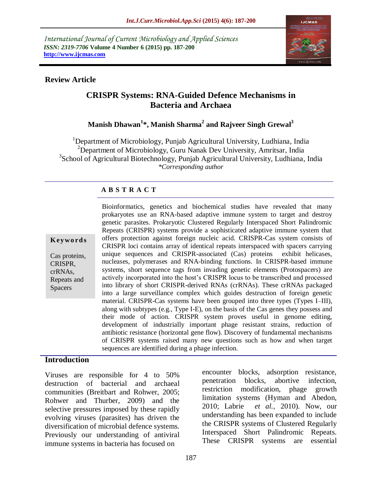*International Journal of Current Microbiology and Applied Sciences ISSN: 2319-7706* **Volume 4 Number 6 (2015) pp. 187-200 http://www.ijcmas.com** 



### **Review Article**

# **CRISPR Systems: RNA-Guided Defence Mechanisms in Bacteria and Archaea**

## **Manish Dhawan<sup>1</sup> \*, Manish Sharma<sup>2</sup> and Rajveer Singh Grewal<sup>3</sup>**

<sup>1</sup>Department of Microbiology, Punjab Agricultural University, Ludhiana, India <sup>2</sup>Department of Microbiology, Guru Nanak Dev University, Amritsar, India <sup>3</sup>School of Agricultural Biotechnology, Punjab Agricultural University, Ludhiana, India *\*Corresponding author*

## **A B S T R A C T**

**K ey w o rd s**

Cas proteins, CRISPR, crRNAs, Repeats and Spacers

Bioinformatics, genetics and biochemical studies have revealed that many prokaryotes use an RNA-based adaptive immune system to target and destroy genetic parasites. Prokaryotic Clustered Regularly Interspaced Short Palindromic Repeats (CRISPR) systems provide a sophisticated adaptive immune system that offers protection against foreign nucleic acid. CRISPR-Cas system consists of CRISPR loci contains array of identical repeats interspaced with spacers carrying unique sequences and CRISPR-associated (Cas) proteins exhibit helicases, nucleases, polymerases and RNA-binding functions. In CRISPR-based immune systems, short sequence tags from invading genetic elements (Protospacers) are actively incorporated into the host's CRISPR locus to be transcribed and processed into library of short CRISPR-derived RNAs (crRNAs). These crRNAs packaged into a large surveillance complex which guides destruction of foreign genetic material. CRISPR-Cas systems have been grouped into three types (Types I–III), along with subtypes (e.g., Type I-E), on the basis of the Cas genes they possess and their mode of action. CRISPR system proves useful in genome editing, development of industrially important phage resistant strains, reduction of antibiotic resistance (horizontal gene flow). Discovery of fundamental mechanisms of CRISPR systems raised many new questions such as how and when target sequences are identified during a phage infection.

### **Introduction**

Viruses are responsible for 4 to 50% destruction of bacterial and archaeal communities (Breitbart and Rohwer, 2005; Rohwer and Thurber, 2009) and the selective pressures imposed by these rapidly evolving viruses (parasites) has driven the diversification of microbial defence systems. Previously our understanding of antiviral immune systems in bacteria has focused on

encounter blocks, adsorption resistance, penetration blocks, abortive infection, restriction modification, phage growth limitation systems (Hyman and Abedon, 2010; Labrie *et al.,* 2010). Now, our understanding has been expanded to include the CRISPR systems of Clustered Regularly Interspaced Short Palindromic Repeats. These CRISPR systems are essential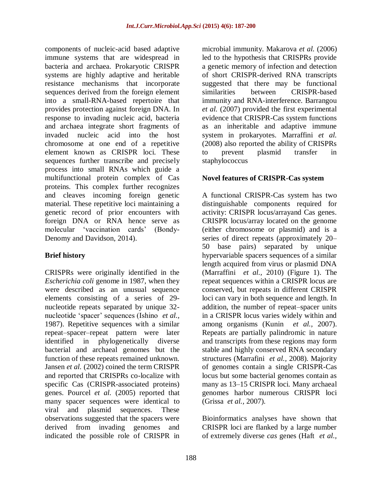components of nucleic-acid based adaptive immune systems that are widespread in bacteria and archaea. Prokaryotic CRISPR systems are highly adaptive and heritable resistance mechanisms that incorporate sequences derived from the foreign element into a small-RNA-based repertoire that provides protection against foreign DNA. In response to invading nucleic acid, bacteria and archaea integrate short fragments of invaded nucleic acid into the host chromosome at one end of a repetitive element known as CRISPR loci. These sequences further transcribe and precisely process into small RNAs which guide a multifunctional protein complex of Cas proteins. This complex further recognizes and cleaves incoming foreign genetic material. These repetitive loci maintaining a genetic record of prior encounters with foreign DNA or RNA hence serve as molecular 'vaccination cards' (Bondy-Denomy and Davidson, 2014).

### **Brief history**

CRISPRs were originally identified in the *Escherichia coli* genome in 1987, when they were described as an unusual sequence elements consisting of a series of 29 nucleotide repeats separated by unique 32 nucleotide 'spacer' sequences (Ishino *et al.,* 1987). Repetitive sequences with a similar repeat–spacer–repeat pattern were later identified in phylogenetically diverse bacterial and archaeal genomes but the function of these repeats remained unknown. Jansen *et al.* (2002) coined the term CRISPR and reported that CRISPRs co-localize with specific Cas (CRISPR-associated proteins) genes. Pourcel *et al.* (2005) reported that many spacer sequences were identical to viral and plasmid sequences. These observations suggested that the spacers were derived from invading genomes and indicated the possible role of CRISPR in

microbial immunity. Makarova *et al.* (2006) led to the hypothesis that CRISPRs provide a genetic memory of infection and detection of short CRISPR-derived RNA transcripts suggested that there may be functional similarities between CRISPR-based immunity and RNA-interference. Barrangou *et al.* (2007) provided the first experimental evidence that CRISPR-Cas system functions as an inheritable and adaptive immune system in prokaryotes. Marraffini *et al.*  (2008) also reported the ability of CRISPRs to prevent plasmid transfer in staphylococcus

### **Novel features of CRISPR-Cas system**

A functional CRISPR-Cas system has two distinguishable components required for activity: CRISPR locus/arrayand Cas genes. CRISPR locus/array located on the genome (either chromosome or plasmid) and is a series of direct repeats (approximately 20– 50 base pairs) separated by unique hypervariable spacers sequences of a similar length acquired from virus or plasmid DNA (Marraffini *et al.,* 2010) (Figure 1). The repeat sequences within a CRISPR locus are conserved, but repeats in different CRISPR loci can vary in both sequence and length. In addition, the number of repeat–spacer units in a CRISPR locus varies widely within and among organisms (Kunin *et al.,* 2007). Repeats are partially palindromic in nature and transcripts from these regions may form stable and highly conserved RNA secondary structures (Marrafini *et al.,* 2008). Majority of genomes contain a single CRISPR-Cas locus but some bacterial genomes contain as many as 13–15 CRISPR loci. Many archaeal genomes harbor numerous CRISPR loci (Grissa *et al.,* 2007).

Bioinformatics analyses have shown that CRISPR loci are flanked by a large number of extremely diverse *cas* genes (Haft *et al.,*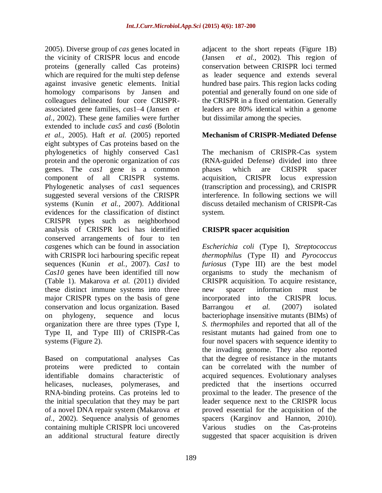2005). Diverse group of *cas* genes located in the vicinity of CRISPR locus and encode proteins (generally called Cas proteins) which are required for the multi step defense against invasive genetic elements. Initial homology comparisons by Jansen and colleagues delineated four core CRISPRassociated gene families, *cas*1–4 (Jansen *et al.,* 2002). These gene families were further extended to include *cas5* and *cas6* (Bolotin *et al.,* 2005). Haft *et al.* (2005) reported eight subtypes of Cas proteins based on the phylogenetics of highly conserved Cas1 protein and the operonic organization of *cas* genes. The *cas1* gene is a common component of all CRISPR systems. Phylogenetic analyses of *cas*1 sequences suggested several versions of the CRISPR systems (Kunin *et al.,* 2007). Additional evidences for the classification of distinct CRISPR types such as neighborhood analysis of CRISPR loci has identified conserved arrangements of four to ten *cas*genes which can be found in association with CRISPR loci harbouring specific repeat sequences (Kunin *et al.,* 2007). *Cas1* to *Cas10* genes have been identified till now (Table 1). Makarova *et al.* (2011) divided these distinct immune systems into three major CRISPR types on the basis of gene conservation and locus organization. Based on phylogeny, sequence and locus organization there are three types (Type I, Type II, and Type III) of CRISPR-Cas systems (Figure 2).

Based on computational analyses Cas proteins were predicted to contain identifiable domains characteristic of helicases, nucleases, polymerases, and RNA-binding proteins. Cas proteins led to the initial speculation that they may be part of a novel DNA repair system (Makarova *et al.,* 2002). Sequence analysis of genomes containing multiple CRISPR loci uncovered an additional structural feature directly

potential and generally found on one side of the CRISPR in a fixed orientation. Generally leaders are 80% identical within a genome but dissimilar among the species. **Mechanism of CRISPR-Mediated Defense** The mechanism of CRISPR-Cas system (RNA-guided Defense) divided into three

adjacent to the short repeats (Figure 1B) (Jansen *et al.,* 2002). This region of conservation between CRISPR loci termed as leader sequence and extends several hundred base pairs. This region lacks coding

phases which are CRISPR spacer acquisition, CRISPR locus expression (transcription and processing), and CRISPR interference. In following sections we will discuss detailed mechanism of CRISPR-Cas system.

## **CRISPR spacer acquisition**

*Escherichia coli* (Type I), *Streptococcus thermophilus* (Type II) and *Pyrococcus furiosus* (Type III) are the best model organisms to study the mechanism of CRISPR acquisition. To acquire resistance, new spacer information must be incorporated into the CRISPR locus. Barrangou *et al.* (2007) isolated bacteriophage insensitive mutants (BIMs) of *S. thermophiles* and reported that all of the resistant mutants had gained from one to four novel spacers with sequence identity to the invading genome. They also reported that the degree of resistance in the mutants can be correlated with the number of acquired sequences. Evolutionary analyses predicted that the insertions occurred proximal to the leader. The presence of the leader sequence next to the CRISPR locus proved essential for the acquisition of the spacers (Karginov and Hannon, 2010). Various studies on the Cas-proteins suggested that spacer acquisition is driven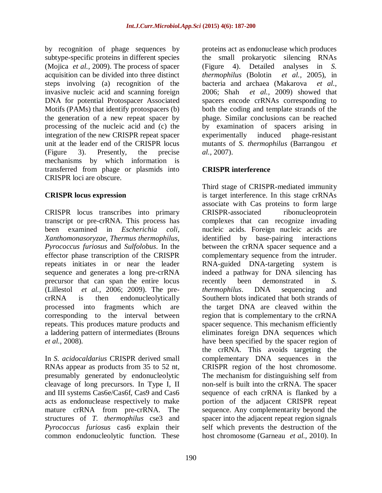by recognition of phage sequences by subtype-specific proteins in different species (Mojica *et al.,* 2009). The process of spacer acquisition can be divided into three distinct steps involving (a) recognition of the invasive nucleic acid and scanning foreign DNA for potential Protospacer Associated Motifs (PAMs) that identify protospacers (b) the generation of a new repeat spacer by processing of the nucleic acid and (c) the integration of the new CRISPR repeat spacer unit at the leader end of the CRISPR locus (Figure 3). Presently, the precise mechanisms by which information is transferred from phage or plasmids into CRISPR loci are obscure.

### **CRISPR locus expression**

CRISPR locus transcribes into primary transcript or pre-crRNA. This process has been examined in *Escherichia coli*, *Xanthomonasoryzae*, *Thermus thermophilus*, *Pyrococcus furiosus* and *Sulfolobus*. In the effector phase transcription of the CRISPR repeats initiates in or near the leader sequence and generates a long pre-crRNA precursor that can span the entire locus (Lillestol *et al.,* 2006; 2009). The precrRNA is then endonucleolytically processed into fragments which are corresponding to the interval between repeats. This produces mature products and a laddering pattern of intermediates (Brouns *et al.,* 2008).

In *S. acidocaldarius* CRISPR derived small RNAs appear as products from 35 to 52 nt, presumably generated by endonucleolytic cleavage of long precursors. In Type I, II and III systems Cas6e/Cas6f, Cas9 and Cas6 acts as endonuclease respectively to make mature crRNA from pre-crRNA. The structures of *T. thermophilus* cse3 and *Pyrococcus furiosus* cas6 explain their common endonucleolytic function. These

proteins act as endonuclease which produces the small prokaryotic silencing RNAs (Figure 4). Detailed analyses in *S. thermophilus* (Bolotin *et al.,* 2005), in bacteria and archaea (Makarova *et al.,* 2006; Shah *et al.,* 2009) showed that spacers encode crRNAs corresponding to both the coding and template strands of the phage. Similar conclusions can be reached by examination of spacers arising in experimentally induced phage-resistant mutants of *S. thermophilus* (Barrangou *et al.,* 2007).

## **CRISPR interference**

Third stage of CRISPR-mediated immunity is target interference. In this stage crRNAs associate with Cas proteins to form large CRISPR-associated ribonucleoprotein complexes that can recognize invading nucleic acids. Foreign nucleic acids are identified by base-pairing interactions between the crRNA spacer sequence and a complementary sequence from the intruder. RNA-guided DNA-targeting system is indeed a pathway for DNA silencing has recently been demonstrated in *S. thermophilus*. DNA sequencing and Southern blots indicated that both strands of the target DNA are cleaved within the region that is complementary to the crRNA spacer sequence. This mechanism efficiently eliminates foreign DNA sequences which have been specified by the spacer region of the crRNA. This avoids targeting the complementary DNA sequences in the CRISPR region of the host chromosome. The mechanism for distinguishing self from non-self is built into the crRNA. The spacer sequence of each crRNA is flanked by a portion of the adjacent CRISPR repeat sequence. Any complementarity beyond the spacer into the adjacent repeat region signals self which prevents the destruction of the host chromosome (Garneau *et al.,* 2010). In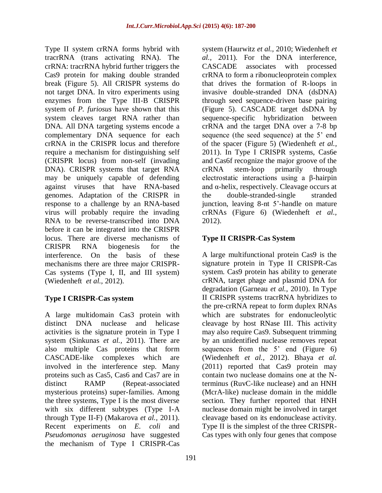Type II system crRNA forms hybrid with tracrRNA (trans activating RNA). The crRNA: tracrRNA hybrid further triggers the Cas9 protein for making double stranded break (Figure 5). All CRISPR systems do not target DNA. In vitro experiments using enzymes from the Type III-B CRISPR system of *P. furiosus* have shown that this system cleaves target RNA rather than DNA. All DNA targeting systems encode a complementary DNA sequence for each crRNA in the CRISPR locus and therefore require a mechanism for distinguishing self (CRISPR locus) from non-self (invading DNA). CRISPR systems that target RNA may be uniquely capable of defending against viruses that have RNA-based genomes. Adaptation of the CRISPR in response to a challenge by an RNA-based virus will probably require the invading RNA to be reverse-transcribed into DNA before it can be integrated into the CRISPR locus. There are diverse mechanisms of CRISPR RNA biogenesis for the interference. On the basis of these mechanisms there are three major CRISPR-Cas systems (Type I, II, and III system) (Wiedenheft *et al.,* 2012).

## **Type I CRISPR-Cas system**

A large multidomain Cas3 protein with distinct DNA nuclease and helicase activities is the signature protein in Type I system (Sinkunas *et al.,* 2011). There are also multiple Cas proteins that form CASCADE-like complexes which are involved in the interference step. Many proteins such as Cas5, Cas6 and Cas7 are in distinct RAMP (Repeat-associated mysterious proteins) super-families. Among the three systems, Type I is the most diverse with six different subtypes (Type I-A through Type II-F) (Makarova *et al.,* 2011). Recent experiments on *E. coli* and *Pseudomonas aeruginosa* have suggested the mechanism of Type I CRISPR-Cas

system (Haurwitz *et al.,* 2010; Wiedenheft *et al.,* 2011). For the DNA interference, CASCADE associates with processed crRNA to form a ribonucleoprotein complex that drives the formation of R-loops in invasive double-stranded DNA (dsDNA) through seed sequence-driven base pairing (Figure 5). CASCADE target dsDNA by sequence-specific hybridization between crRNA and the target DNA over a 7-8 bp sequence (the seed sequence) at the 5' end of the spacer (Figure 5) (Wiedenheft *et al.,* 2011). In Type I CRISPR systems, Cas6e and Cas6f recognize the major groove of the crRNA stem-loop primarily through electrostatic interactions using a β-hairpin and  $\alpha$ -helix, respectively. Cleavage occurs at the double-stranded-single stranded junction, leaving 8-nt 5'-handle on mature crRNAs (Figure 6) (Wiedenheft *et al.,* 2012).

# **Type II CRISPR-Cas System**

A large multifunctional protein Cas9 is the signature protein in Type II CRISPR-Cas system. Cas9 protein has ability to generate crRNA, target phage and plasmid DNA for degradation (Garneau *et al.,* 2010). In Type II CRISPR systems tracrRNA hybridizes to the pre-crRNA repeat to form duplex RNAs which are substrates for endonucleolytic cleavage by host RNase III. This activity may also require Cas9. Subsequent trimming by an unidentified nuclease removes repeat sequences from the 5' end (Figure 6) (Wiedenheft *et al.,* 2012). Bhaya *et al.*  (2011) reported that Cas9 protein may contain two nuclease domains one at the Nterminus (RuvC-like nuclease) and an HNH (McrA-like) nuclease domain in the middle section. They further reported that HNH nuclease domain might be involved in target cleavage based on its endonuclease activity. Type II is the simplest of the three CRISPR-Cas types with only four genes that compose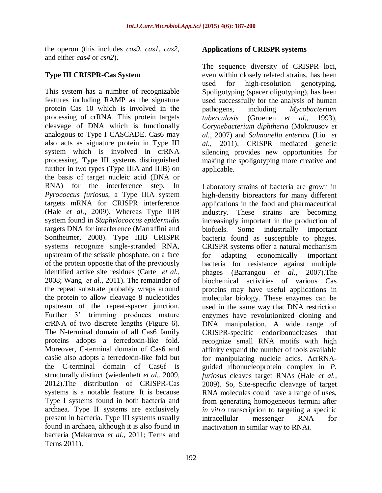the operon (this includes *cas9*, *cas1*, *cas2*, and either *cas4* or *csn2*).

## **Type III CRISPR-Cas System**

This system has a number of recognizable features including RAMP as the signature protein Cas 10 which is involved in the processing of crRNA. This protein targets cleavage of DNA which is functionally analogous to Type I CASCADE. Cas6 may also acts as signature protein in Type III system which is involved in crRNA processing. Type III systems distinguished further in two types (Type IIIA and IIIB) on the basis of target nucleic acid (DNA or RNA) for the interference step. In *Pyrococcus furiosus*, a Type IIIA system targets mRNA for CRISPR interference (Hale *et al.,* 2009). Whereas Type IIIB system found in *Staphylococcus epidermidis* targets DNA for interference (Marraffini and Sontheimer, 2008). Type IIIB CRISPR systems recognize single-stranded RNA, upstream of the scissile phosphate, on a face of the protein opposite that of the previously identified active site residues (Carte *et al.,* 2008; Wang *et al.,* 2011). The remainder of the repeat substrate probably wraps around the protein to allow cleavage 8 nucleotides upstream of the repeat-spacer junction. Further 3' trimming produces mature crRNA of two discrete lengths (Figure 6). The N-terminal domain of all Cas6 family proteins adopts a ferredoxin-like fold. Moreover, C-terminal domain of Cas6 and cas6e also adopts a ferredoxin-like fold but the C-terminal domain of Cas6f is structurally distinct (wiedenheft *et al.,* 2009, 2012).The distribution of CRISPR-Cas systems is a notable feature. It is because Type I systems found in both bacteria and archaea. Type II systems are exclusively present in bacteria. Type III systems usually found in archaea, although it is also found in bacteria (Makarova *et al.,* 2011; Terns and Terns 2011).

### **Applications of CRISPR systems**

The sequence diversity of CRISPR loci, even within closely related strains, has been used for high-resolution genotyping. Spoligotyping (spacer oligotyping), has been used successfully for the analysis of human pathogens, including *Mycobacterium tuberculosis* (Groenen *et al.,* 1993), *Corynebacterium diphtheria* (Mokrousov *et al.,* 2007) and *Salmonella enterica* (Liu *et al.,* 2011). CRISPR mediated genetic silencing provides new opportunities for making the spoligotyping more creative and applicable.

Laboratory strains of bacteria are grown in high-density bioreactors for many different applications in the food and pharmaceutical industry. These strains are becoming increasingly important in the production of biofuels. Some industrially important bacteria found as susceptible to phages. CRISPR systems offer a natural mechanism for adapting economically important bacteria for resistance against multiple phages (Barrangou *et al.,* 2007).The biochemical activities of various Cas proteins may have useful applications in molecular biology. These enzymes can be used in the same way that DNA restriction enzymes have revolutionized cloning and DNA manipulation. A wide range of CRISPR-specific endoribonucleases that recognize small RNA motifs with high affinity expand the number of tools available for manipulating nucleic acids. AcrRNAguided ribonucleoprotein complex in *P. furiosus* cleaves target RNAs (Hale *et al.,* 2009). So, Site-specific cleavage of target RNA molecules could have a range of uses, from generating homogeneous termini after *in vitro* transcription to targeting a specific intracellular messenger RNA for inactivation in similar way to RNAi.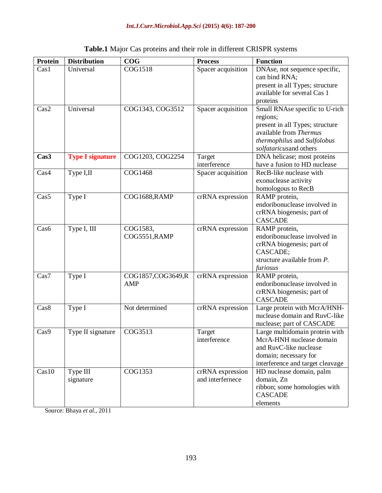| Protein | <b>Distribution</b>     | COG               | <b>Process</b>                       | <b>Function</b>                                           |
|---------|-------------------------|-------------------|--------------------------------------|-----------------------------------------------------------|
| Cas1    | Universal               | COG1518           | Spacer acquisition                   | DNAse, not sequence specific,                             |
|         |                         |                   |                                      | can bind RNA;                                             |
|         |                         |                   |                                      | present in all Types; structure                           |
|         |                         |                   |                                      | available for several Cas 1                               |
|         |                         |                   |                                      | proteins                                                  |
| Cas2    | Universal               | COG1343, COG3512  | Spacer acquisition                   | Small RNAse specific to U-rich                            |
|         |                         |                   |                                      | regions;                                                  |
|         |                         |                   |                                      | present in all Types; structure                           |
|         |                         |                   |                                      | available from Thermus                                    |
|         |                         |                   |                                      | thermophilus and Sulfolobus                               |
|         |                         |                   |                                      | solfataricusand others                                    |
| Cas3    | <b>Type I signature</b> | COG1203, COG2254  | Target                               | DNA helicase; most proteins                               |
|         |                         |                   | interference                         | have a fusion to HD nuclease                              |
| Cas4    | Type I,II               | <b>COG1468</b>    | Spacer acquisition                   | RecB-like nuclease with                                   |
|         |                         |                   |                                      | exonuclease activity                                      |
|         |                         |                   |                                      | homologous to RecB                                        |
| Cas5    | Type I                  | COG1688, RAMP     | crRNA expression                     | RAMP protein,                                             |
|         |                         |                   |                                      | endoribonuclease involved in                              |
|         |                         |                   |                                      | crRNA biogenesis; part of                                 |
|         |                         |                   |                                      | <b>CASCADE</b>                                            |
| Cas6    | Type I, III             | COG1583,          | crRNA expression                     | RAMP protein,                                             |
|         |                         | COG5551, RAMP     |                                      | endoribonuclease involved in                              |
|         |                         |                   |                                      | crRNA biogenesis; part of                                 |
|         |                         |                   |                                      | CASCADE;                                                  |
|         |                         |                   |                                      | structure available from P.                               |
|         |                         |                   |                                      | furiosus                                                  |
| Cas7    | Type I                  | COG1857,COG3649,R | crRNA expression                     | RAMP protein,                                             |
|         |                         | <b>AMP</b>        |                                      | endoribonuclease involved in                              |
|         |                         |                   |                                      | crRNA biogenesis; part of                                 |
|         |                         |                   |                                      | <b>CASCADE</b>                                            |
| Cas8    | Type I                  | Not determined    | crRNA expression                     | Large protein with McrA/HNH-                              |
|         |                         |                   |                                      | nuclease domain and RuvC-like                             |
|         |                         |                   |                                      | nuclease; part of CASCADE                                 |
| Cas9    | Type II signature       | COG3513           | Target                               | Large multidomain protein with                            |
|         |                         |                   | interference                         | McrA-HNH nuclease domain<br>and RuvC-like nuclease        |
|         |                         |                   |                                      |                                                           |
|         |                         |                   |                                      | domain; necessary for<br>interference and target cleavage |
| Cas10   |                         | COG1353           |                                      |                                                           |
|         | Type III<br>signature   |                   | crRNA expression<br>and interfernece | HD nuclease domain, palm<br>domain, Zn                    |
|         |                         |                   |                                      | ribbon; some homologies with                              |
|         |                         |                   |                                      | <b>CASCADE</b>                                            |
|         |                         |                   |                                      | elements                                                  |
|         |                         |                   |                                      |                                                           |

# **Table.1** Major Cas proteins and their role in different CRISPR systems

Source: Bhaya *et al.,* 2011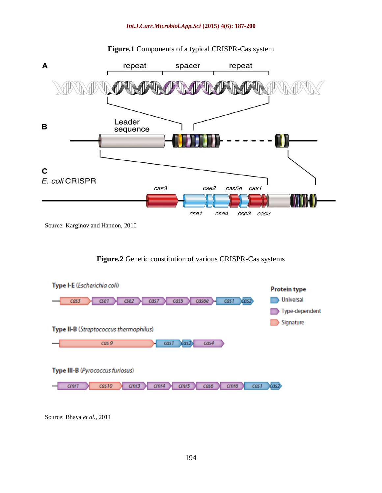

### **Figure.1** Components of a typical CRISPR-Cas system

## **Figure.2** Genetic constitution of various CRISPR-Cas systems



Source: Bhaya *et al.,* 2011

Source: Karginov and Hannon, 2010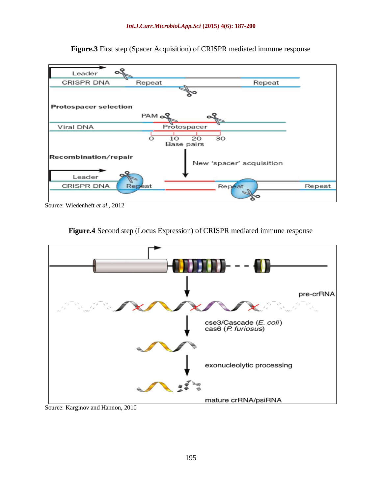

**Figure.3** First step (Spacer Acquisition) of CRISPR mediated immune response

Source: Wiedenheft *et al.,* 2012





Source: Karginov and Hannon, 2010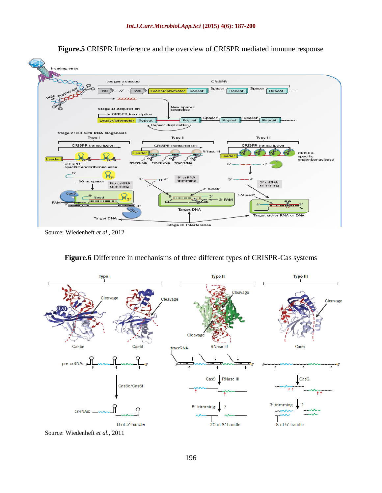

**Figure.5** CRISPR Interference and the overview of CRISPR mediated immune response

**Figure.6** Difference in mechanisms of three different types of CRISPR-Cas systems



Source: Wiedenheft *et al.,* 2011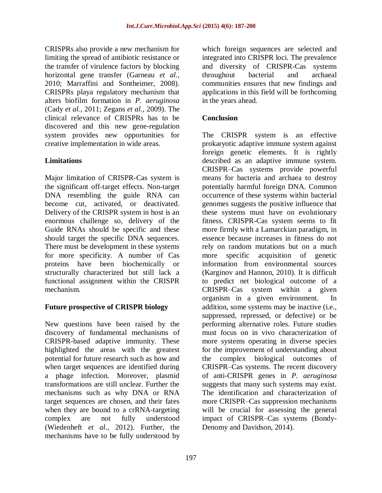CRISPRs also provide a new mechanism for limiting the spread of antibiotic resistance or the transfer of virulence factors by blocking horizontal gene transfer (Garneau *et al.,* 2010; Marraffini and Sontheimer, 2008). CRISPRs playa regulatory mechanism that alters biofilm formation in *P. aeruginosa* (Cady *et al.,* 2011; Zegans *et al.,* 2009). The clinical relevance of CRISPRs has to be discovered and this new gene-regulation system provides new opportunities for creative implementation in wide areas.

## **Limitations**

Major limitation of CRISPR-Cas system is the significant off-target effects. Non-target DNA resembling the guide RNA can become cut, activated, or deactivated. Delivery of the CRISPR system in host is an enormous challenge so, delivery of the Guide RNAs should be specific and these should target the specific DNA sequences. There must be development in these systems for more specificity. A number of Cas proteins have been biochemically or structurally characterized but still lack a functional assignment within the CRISPR mechanism.

### **Future prospective of CRISPR biology**

New questions have been raised by the discovery of fundamental mechanisms of CRISPR-based adaptive immunity. These highlighted the areas with the greatest potential for future research such as how and when target sequences are identified during a phage infection. Moreover, plasmid transformations are still unclear. Further the mechanisms such as why DNA or RNA target sequences are chosen, and their fates when they are bound to a crRNA-targeting complex are not fully understood (Wiedenheft *et al.,* 2012). Further, the mechanisms have to be fully understood by

which foreign sequences are selected and integrated into CRISPR loci. The prevalence and diversity of CRISPR-Cas systems throughout bacterial and archaeal communities ensures that new findings and applications in this field will be forthcoming in the years ahead.

## **Conclusion**

The CRISPR system is an effective prokaryotic adaptive immune system against foreign genetic elements. It is rightly described as an adaptive immune system. CRISPR–Cas systems provide powerful means for bacteria and archaea to destroy potentially harmful foreign DNA. Common occurrence of these systems within bacterial genomes suggests the positive influence that these systems must have on evolutionary fitness. CRISPR-Cas system seems to fit more firmly with a Lamarckian paradigm, in essence because increases in fitness do not rely on random mutations but on a much more specific acquisition of genetic information from environmental sources (Karginov and Hannon, 2010). It is difficult to predict net biological outcome of a CRISPR–Cas system within a given organism in a given environment. In addition, some systems may be inactive (i.e., suppressed, repressed, or defective) or be performing alternative roles. Future studies must focus on in vivo characterization of more systems operating in diverse species for the improvement of understanding about the complex biological outcomes of CRISPR–Cas systems. The recent discovery of anti-CRISPR genes in *P. aeruginosa* suggests that many such systems may exist. The identification and characterization of more CRISPR–Cas suppression mechanisms will be crucial for assessing the general impact of CRISPR–Cas systems (Bondy-Denomy and Davidson, 2014).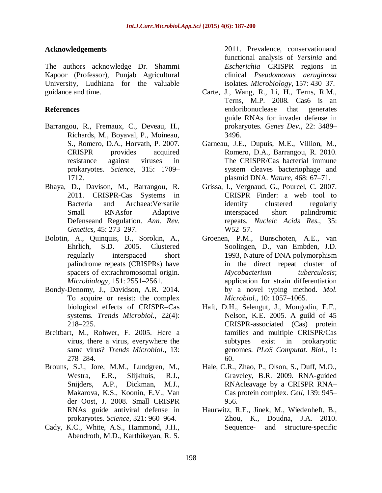#### **Acknowledgements**

The authors acknowledge Dr. Shammi Kapoor (Professor), Punjab Agricultural University, Ludhiana for the valuable guidance and time.

#### **References**

- Barrangou, R., Fremaux, C., Deveau, H., Richards, M., Boyaval, P., Moineau, S., Romero, D.A., Horvath, P. 2007. CRISPR provides acquired resistance against viruses in prokaryotes. *Science*, 315: 1709– 1712.
- Bhaya, D., Davison, M., Barrangou, R. 2011. CRISPR-Cas Systems in Bacteria and Archaea:Versatile Small RNAsfor Adaptive Defenseand Regulation. *Ann. Rev. Genetics,* 45: 273–297.
- Bolotin, A., Quinquis, B., Sorokin, A., Ehrlich, S.D. 2005. Clustered regularly interspaced short palindrome repeats (CRISPRs) have spacers of extrachromosomal origin. *Microbiology*, 151: 2551–2561.
- Bondy-Denomy, J., Davidson, A.R. 2014. To acquire or resist: the complex biological effects of CRISPR–Cas systems. *Trends Microbiol.,* 22(4): 218–225.
- Breitbart, M., Rohwer, F. 2005. Here a virus, there a virus, everywhere the same virus? *Trends Microbiol.,* 13: 278–284.
- Brouns, S.J., Jore, M.M., Lundgren, M., Westra, E.R., Slijkhuis, R.J., Snijders, A.P., Dickman, M.J., Makarova, K.S., Koonin, E.V., Van der Oost, J. 2008. Small CRISPR RNAs guide antiviral defense in prokaryotes. *Science,* 321: 960–964.
- Cady, K.C., White, A.S., Hammond, J.H., Abendroth, M.D., Karthikeyan, R. S.

2011. Prevalence, conservationand functional analysis of *Yersinia* and *Escherichia* CRISPR regions in clinical *Pseudomonas aeruginosa*  isolates. *Microbiology,* 157: 430–37.

- Carte, J., Wang, R., Li, H., Terns, R.M., Terns, M.P. 2008. Cas6 is an endoribonuclease that generates guide RNAs for invader defense in prokaryotes. *Genes Dev.,* 22: 3489– 3496.
- Garneau, J.E., Dupuis, M.E., Villion, M., Romero, D.A., Barrangou, R. 2010. The CRISPR/Cas bacterial immune system cleaves bacteriophage and plasmid DNA. *Nature,* 468: 67–71.
- Grissa, I., Vergnaud, G., Pourcel, C. 2007. CRISPR Finder: a web tool to identify clustered regularly interspaced short palindromic repeats. *Nucleic Acids Res.,* 35: W52–57.
- Groenen, P.M., Bunschoten, A.E., van Soolingen, D., van Embden, J.D. 1993, Nature of DNA polymorphism in the direct repeat cluster of *Mycobacterium tuberculosis*; application for strain differentiation by a novel typing method. *Mol. Microbiol.,* 10: 1057–1065.
- Haft, D.H., Selengut, J., Mongodin, E.F., Nelson, K.E. 2005. A guild of 45 CRISPR-associated (Cas) protein families and multiple CRISPR/Cas subtypes exist in prokaryotic genomes. *PLoS Computat. Biol.,* 1**:**  60.
- Hale, C.R., Zhao, P., Olson, S., Duff, M.O., Graveley, B.R. 2009. RNA-guided RNAcleavage by a CRISPR RNA– Cas protein complex. *Cell,* 139: 945– 956.
- Haurwitz, R.E., Jinek, M., Wiedenheft, B., Zhou, K., Doudna, J.A. 2010. Sequence- and structure-specific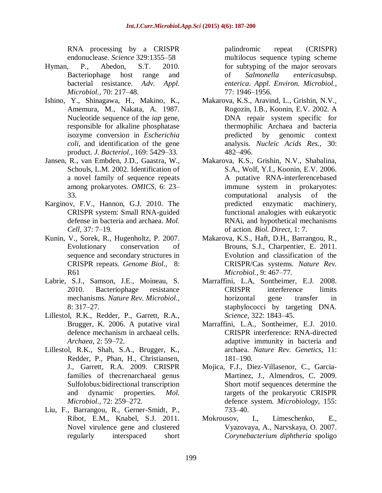RNA processing by a CRISPR endonuclease. *Science* 329:1355–58

- Hyman, P., Abedon, S.T. 2010. Bacteriophage host range and bacterial resistance. *Adv. Appl. Microbiol.,* 70: 217–48.
- Ishino, Y., Shinagawa, H., Makino, K., Amemura, M., Nakata, A. 1987. Nucleotide sequence of the *iap* gene, responsible for alkaline phosphatase isozyme conversion in *Escherichia coli*, and identification of the gene product. *J. Bacteriol.,* 169: 5429–33.
- Jansen, R., van Embden, J.D., Gaastra, W., Schouls, L.M. 2002. Identification of a novel family of sequence repeats among prokaryotes. *OMICS,* 6: 23– 33.
- Karginov, F.V., Hannon, G.J. 2010. The CRISPR system: Small RNA-guided defense in bacteria and archaea. *Mol. Cell,* 37: 7–19.
- Kunin, V., Sorek, R., Hugenholtz, P. 2007. Evolutionary conservation of sequence and secondary structures in CRISPR repeats. *Genome Biol.,* 8: R61
- Labrie, S.J., Samson, J.E., Moineau, S. 2010. Bacteriophage resistance mechanisms. *Nature Rev. Microbiol.,*  8: 317–27.
- Lillestol, R.K., Redder, P., Garrett, R.A., Brugger, K. 2006. A putative viral defence mechanism in archaeal cells. *Archaea,* 2: 59–72.
- Lillestol, R.K., Shah, S.A., Brugger, K., Redder, P., Phan, H., Christiansen, J., Garrett, R.A. 2009. CRISPR families of thecrenarchaeal genus Sulfolobus:bidirectional transcription and dynamic properties. *Mol. Microbiol.,* 72: 259–272.
- Liu, F., Barrangou, R., Gerner-Smidt, P., Ribot, E.M., Knabel, S.J. 2011. Novel virulence gene and clustered regularly interspaced short

palindromic repeat (CRISPR) multilocus sequence typing scheme for subtyping of the major serovars of *Salmonella enterica*subsp. *enterica*. *Appl. Environ. Microbiol.,*  77: 1946–1956.

- Makarova, K.S., Aravind, L., Grishin, N.V., Rogozin, I.B., Koonin, E.V. 2002. A DNA repair system specific for thermophilic Archaea and bacteria predicted by genomic context analysis. *Nucleic Acids Res.,* 30: 482–496.
- Makarova, K.S., Grishin, N.V., Shabalina, S.A., Wolf, Y.I., Koonin, E.V. 2006. A putative RNA-interferencebased immune system in prokaryotes: computational analysis of the predicted enzymatic machinery, functional analogies with eukaryotic RNAi, and hypothetical mechanisms of action. *Biol. Direct,* 1: 7.
- Makarova, K.S., Haft, D.H., Barrangou, R., Brouns, S.J., Charpentier, E. 2011. Evolution and classification of the CRISPR/Cas systems. *Nature Rev. Microbiol.,* 9: 467–77.
- Marraffini, L.A, Sontheimer, E.J. 2008. CRISPR interference limits horizontal gene transfer in staphylococci by targeting DNA. *Science,* 322: 1843–45.
- Marraffini, L.A., Sontheimer, E.J. 2010. CRISPR interference: RNA-directed adaptive immunity in bacteria and archaea. *Nature Rev. Genetics,* 11: 181–190.
- Mojica, F.J., Diez-Villasenor, C., Garcia-Martinez, J., Almendros, C. 2009. Short motif sequences determine the targets of the prokaryotic CRISPR defence system. *Microbiology,* 155: 733–40.
- Mokrousov, I., Limeschenko, E., Vyazovaya, A., Narvskaya, O. 2007. *Corynebacterium diphtheria* spoligo